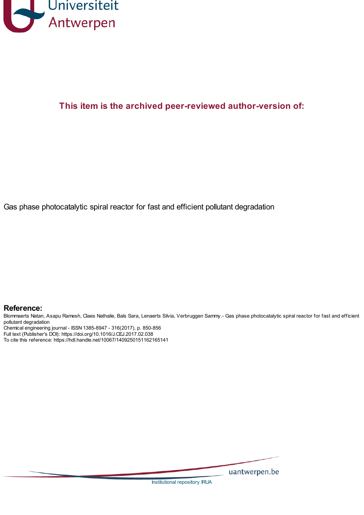

# **This item is the archived peer-reviewed author-version of:**

Gas phase photocatalytic spiral reactor for fast and efficient pollutant degradation

#### **Reference:**

Blommaerts Natan, Asapu Ramesh, Claes Nathalie, Bals Sara, Lenaerts Silvia, Verbruggen Sammy.- Gas phase photocatalytic spiral reactor for fast and efficient pollutant degradation

Chemical engineering journal - ISSN 1385-8947 - 316(2017), p. 850-856

Full text (Publisher's DOI): https://doi.org/10.1016/J.CEJ.2017.02.038

To cite this reference: https://hdl.handle.net/10067/1409250151162165141

uantwerpen.be

Institutional repository IRUA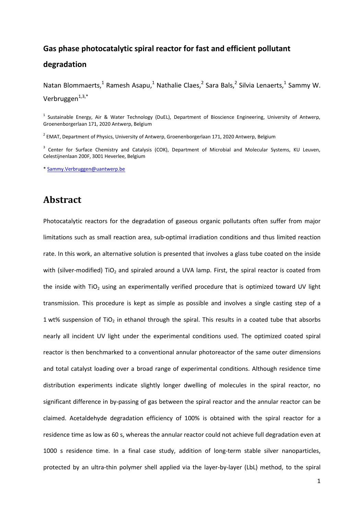# **Gas phase photocatalytic spiral reactor for fast and efficient pollutant degradation**

Natan Blommaerts,<sup>1</sup> Ramesh Asapu,<sup>1</sup> Nathalie Claes,<sup>2</sup> Sara Bals,<sup>2</sup> Silvia Lenaerts,<sup>1</sup> Sammy W. Verbruggen $^{1,3,*}$ 

<sup>1</sup> Sustainable Energy, Air & Water Technology (DuEL), Department of Bioscience Engineering, University of Antwerp, Groenenborgerlaan 171, 2020 Antwerp, Belgium

 $^2$  EMAT, Department of Physics, University of Antwerp, Groenenborgerlaan 171, 2020 Antwerp, Belgium

<sup>3</sup> Center for Surface Chemistry and Catalysis (COK), Department of Microbial and Molecular Systems, KU Leuven, Celestijnenlaan 200F, 3001 Heverlee, Belgium

[\\* Sammy.Verbruggen@uantwerp.be](mailto:Sammy.Verbruggen@uantwerp.be)

### **Abstract**

Photocatalytic reactors for the degradation of gaseous organic pollutants often suffer from major limitations such as small reaction area, sub-optimal irradiation conditions and thus limited reaction rate. In this work, an alternative solution is presented that involves a glass tube coated on the inside with (silver-modified) TiO<sub>2</sub> and spiraled around a UVA lamp. First, the spiral reactor is coated from the inside with  $TiO<sub>2</sub>$  using an experimentally verified procedure that is optimized toward UV light transmission. This procedure is kept as simple as possible and involves a single casting step of a 1 wt% suspension of TiO<sub>2</sub> in ethanol through the spiral. This results in a coated tube that absorbs nearly all incident UV light under the experimental conditions used. The optimized coated spiral reactor is then benchmarked to a conventional annular photoreactor of the same outer dimensions and total catalyst loading over a broad range of experimental conditions. Although residence time distribution experiments indicate slightly longer dwelling of molecules in the spiral reactor, no significant difference in by-passing of gas between the spiral reactor and the annular reactor can be claimed. Acetaldehyde degradation efficiency of 100% is obtained with the spiral reactor for a residence time as low as 60 s, whereas the annular reactor could not achieve full degradation even at 1000 s residence time. In a final case study, addition of long-term stable silver nanoparticles, protected by an ultra-thin polymer shell applied via the layer-by-layer (LbL) method, to the spiral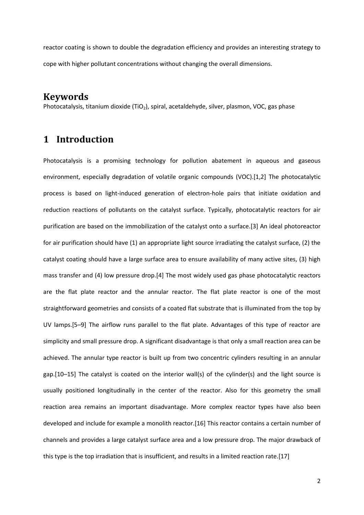reactor coating is shown to double the degradation efficiency and provides an interesting strategy to cope with higher pollutant concentrations without changing the overall dimensions.

#### **Keywords**

Photocatalysis, titanium dioxide (TiO<sub>2</sub>), spiral, acetaldehyde, silver, plasmon, VOC, gas phase

# **1 Introduction**

Photocatalysis is a promising technology for pollution abatement in aqueous and gaseous environment, especially degradation of volatile organic compounds (VOC).[1,2] The photocatalytic process is based on light-induced generation of electron-hole pairs that initiate oxidation and reduction reactions of pollutants on the catalyst surface. Typically, photocatalytic reactors for air purification are based on the immobilization of the catalyst onto a surface.[3] An ideal photoreactor for air purification should have (1) an appropriate light source irradiating the catalyst surface, (2) the catalyst coating should have a large surface area to ensure availability of many active sites, (3) high mass transfer and (4) low pressure drop.[4] The most widely used gas phase photocatalytic reactors are the flat plate reactor and the annular reactor. The flat plate reactor is one of the most straightforward geometries and consists of a coated flat substrate that is illuminated from the top by UV lamps.[5–9] The airflow runs parallel to the flat plate. Advantages of this type of reactor are simplicity and small pressure drop. A significant disadvantage is that only a small reaction area can be achieved. The annular type reactor is built up from two concentric cylinders resulting in an annular gap.[10–15] The catalyst is coated on the interior wall(s) of the cylinder(s) and the light source is usually positioned longitudinally in the center of the reactor. Also for this geometry the small reaction area remains an important disadvantage. More complex reactor types have also been developed and include for example a monolith reactor.[16] This reactor contains a certain number of channels and provides a large catalyst surface area and a low pressure drop. The major drawback of this type is the top irradiation that is insufficient, and results in a limited reaction rate.[17]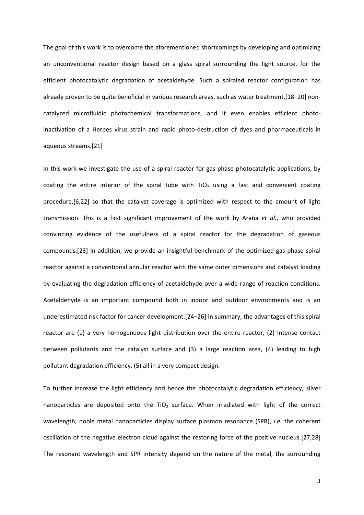The goal of this work is to overcome the aforementioned shortcomings by developing and optimizing an unconventional reactor design based on a glass spiral surrounding the light source, for the efficient photocatalytic degradation of acetaldehyde. Such a spiraled reactor configuration has already proven to be quite beneficial in various research areas, such as water treatment,[18–20] noncatalyzed microfluidic photochemical transformations, and it even enables efficient photoinactivation of a Herpes virus strain and rapid photo-destruction of dyes and pharmaceuticals in aqueous streams.[21]

In this work we investigate the use of a spiral reactor for gas phase photocatalytic applications, by coating the entire interior of the spiral tube with  $TiO<sub>2</sub>$  using a fast and convenient coating procedure,[6,22] so that the catalyst coverage is optimized with respect to the amount of light transmission. This is a first significant improvement of the work by Araña *et al.*, who provided convincing evidence of the usefulness of a spiral reactor for the degradation of gaseous compounds.[23] In addition, we provide an insightful benchmark of the optimized gas phase spiral reactor against a conventional annular reactor with the same outer dimensions and catalyst loading by evaluating the degradation efficiency of acetaldehyde over a wide range of reaction conditions. Acetaldehyde is an important compound both in indoor and outdoor environments and is an underestimated risk factor for cancer development.[24–26] In summary, the advantages of this spiral reactor are (1) a very homogeneous light distribution over the entire reactor, (2) Intense contact between pollutants and the catalyst surface and (3) a large reaction area, (4) leading to high pollutant degradation efficiency, (5) all in a very compact design.

To further increase the light efficiency and hence the photocatalytic degradation efficiency, silver nanoparticles are deposited onto the TiO<sub>2</sub> surface. When irradiated with light of the correct wavelength, noble metal nanoparticles display surface plasmon resonance (SPR), *i.e.* the coherent oscillation of the negative electron cloud against the restoring force of the positive nucleus.[27,28] The resonant wavelength and SPR intensity depend on the nature of the metal, the surrounding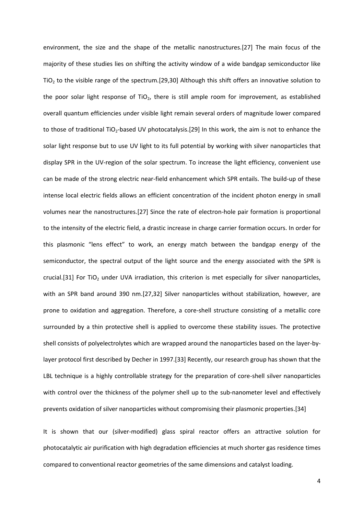environment, the size and the shape of the metallic nanostructures.[27] The main focus of the majority of these studies lies on shifting the activity window of a wide bandgap semiconductor like  $TiO<sub>2</sub>$  to the visible range of the spectrum.[29,30] Although this shift offers an innovative solution to the poor solar light response of  $TiO<sub>2</sub>$ , there is still ample room for improvement, as established overall quantum efficiencies under visible light remain several orders of magnitude lower compared to those of traditional TiO<sub>2</sub>-based UV photocatalysis.[29] In this work, the aim is not to enhance the solar light response but to use UV light to its full potential by working with silver nanoparticles that display SPR in the UV-region of the solar spectrum. To increase the light efficiency, convenient use can be made of the strong electric near-field enhancement which SPR entails. The build-up of these intense local electric fields allows an efficient concentration of the incident photon energy in small volumes near the nanostructures.[27] Since the rate of electron-hole pair formation is proportional to the intensity of the electric field, a drastic increase in charge carrier formation occurs. In order for this plasmonic "lens effect" to work, an energy match between the bandgap energy of the semiconductor, the spectral output of the light source and the energy associated with the SPR is crucial.[31] For TiO<sub>2</sub> under UVA irradiation, this criterion is met especially for silver nanoparticles, with an SPR band around 390 nm.[27,32] Silver nanoparticles without stabilization, however, are prone to oxidation and aggregation. Therefore, a core-shell structure consisting of a metallic core surrounded by a thin protective shell is applied to overcome these stability issues. The protective shell consists of polyelectrolytes which are wrapped around the nanoparticles based on the layer-bylayer protocol first described by Decher in 1997.[33] Recently, our research group has shown that the LBL technique is a highly controllable strategy for the preparation of core-shell silver nanoparticles with control over the thickness of the polymer shell up to the sub-nanometer level and effectively prevents oxidation of silver nanoparticles without compromising their plasmonic properties.[34]

It is shown that our (silver-modified) glass spiral reactor offers an attractive solution for photocatalytic air purification with high degradation efficiencies at much shorter gas residence times compared to conventional reactor geometries of the same dimensions and catalyst loading.

4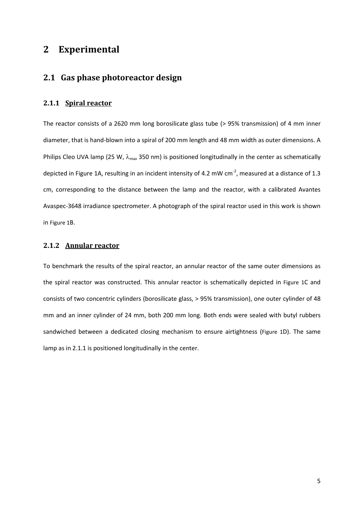### **2 Experimental**

### **2.1 Gas phase photoreactor design**

#### **2.1.1 Spiral reactor**

The reactor consists of a 2620 mm long borosilicate glass tube (> 95% transmission) of 4 mm inner diameter, that is hand-blown into a spiral of 200 mm length and 48 mm width as outer dimensions. A Philips Cleo UVA lamp (25 W,  $\lambda_{\text{max}}$  350 nm) is positioned longitudinally in the center as schematically depicted i[n Figure 1A](#page-6-0), resulting in an incident intensity of 4.2 mW cm<sup>-2</sup>, measured at a distance of 1.3 cm, corresponding to the distance between the lamp and the reactor, with a calibrated Avantes Avaspec-3648 irradiance spectrometer. A photograph of the spiral reactor used in this work is shown in [Figure 1](#page-6-0)B.

#### **2.1.2 Annular reactor**

To benchmark the results of the spiral reactor, an annular reactor of the same outer dimensions as the spiral reactor was constructed. This annular reactor is schematically depicted in [Figure 1](#page-6-0)C and consists of two concentric cylinders (borosilicate glass, > 95% transmission), one outer cylinder of 48 mm and an inner cylinder of 24 mm, both 200 mm long. Both ends were sealed with butyl rubbers sandwiched between a dedicated closing mechanism to ensure airtightness ([Figure 1](#page-6-0)D). The same lamp as in 2.1.1 is positioned longitudinally in the center.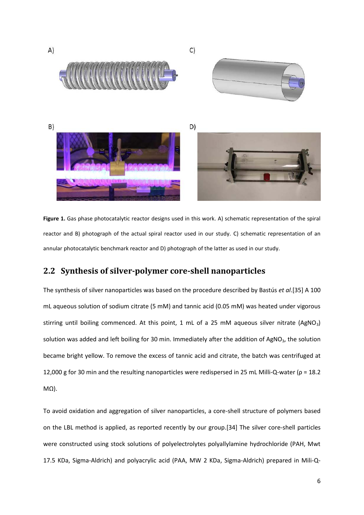

<span id="page-6-0"></span>**Figure 1.** Gas phase photocatalytic reactor designs used in this work. A) schematic representation of the spiral reactor and B) photograph of the actual spiral reactor used in our study. C) schematic representation of an annular photocatalytic benchmark reactor and D) photograph of the latter as used in our study.

### **2.2 Synthesis of silver-polymer core-shell nanoparticles**

The synthesis of silver nanoparticles was based on the procedure described by Bastús *et al*.[35] A 100 mL aqueous solution of sodium citrate (5 mM) and tannic acid (0.05 mM) was heated under vigorous stirring until boiling commenced. At this point, 1 mL of a 25 mM aqueous silver nitrate  $(AgNO<sub>3</sub>)$ solution was added and left boiling for 30 min. Immediately after the addition of AgNO<sub>3</sub>, the solution became bright yellow. To remove the excess of tannic acid and citrate, the batch was centrifuged at 12,000 g for 30 min and the resulting nanoparticles were redispersed in 25 mL Milli-Q-water ( $\rho$  = 18.2 MΩ).

To avoid oxidation and aggregation of silver nanoparticles, a core-shell structure of polymers based on the LBL method is applied, as reported recently by our group.[34] The silver core-shell particles were constructed using stock solutions of polyelectrolytes polyallylamine hydrochloride (PAH, Mwt 17.5 KDa, Sigma-Aldrich) and polyacrylic acid (PAA, MW 2 KDa, Sigma-Aldrich) prepared in Mili-Q-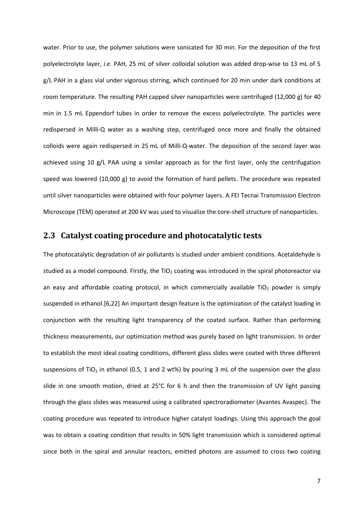water. Prior to use, the polymer solutions were sonicated for 30 min. For the deposition of the first polyelectrolyte layer, *i.e.* PAH, 25 mL of silver colloidal solution was added drop-wise to 13 mL of 5 g/L PAH in a glass vial under vigorous stirring, which continued for 20 min under dark conditions at room temperature. The resulting PAH capped silver nanoparticles were centrifuged (12,000 g) for 40 min in 1.5 mL Eppendorf tubes in order to remove the excess polyelectrolyte. The particles were redispersed in Milli-Q water as a washing step, centrifuged once more and finally the obtained colloids were again redispersed in 25 mL of Milli-Q-water. The deposition of the second layer was achieved using 10 g/L PAA using a similar approach as for the first layer, only the centrifugation speed was lowered (10,000 g) to avoid the formation of hard pellets. The procedure was repeated until silver nanoparticles were obtained with four polymer layers. A FEI Tecnai Transmission Electron Microscope (TEM) operated at 200 kV was used to visualize the core-shell structure of nanoparticles.

#### **2.3 Catalyst coating procedure and photocatalytic tests**

The photocatalytic degradation of air pollutants is studied under ambient conditions. Acetaldehyde is studied as a model compound. Firstly, the TiO<sub>2</sub> coating was introduced in the spiral photoreactor via an easy and affordable coating protocol, in which commercially available TiO<sub>2</sub> powder is simply suspended in ethanol.[6,22] An important design feature is the optimization of the catalyst loading in conjunction with the resulting light transparency of the coated surface. Rather than performing thickness measurements, our optimization method was purely based on light transmission. In order to establish the most ideal coating conditions, different glass slides were coated with three different suspensions of TiO<sub>2</sub> in ethanol (0.5, 1 and 2 wt%) by pouring 3 mL of the suspension over the glass slide in one smooth motion, dried at 25°C for 6 h and then the transmission of UV light passing through the glass slides was measured using a calibrated spectroradiometer (Avantes Avaspec). The coating procedure was repeated to introduce higher catalyst loadings. Using this approach the goal was to obtain a coating condition that results in 50% light transmission which is considered optimal since both in the spiral and annular reactors, emitted photons are assumed to cross two coating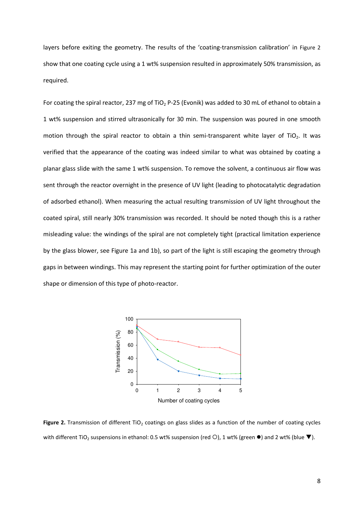layers before exiting the geometry. The results of the 'coating-transmission calibration' in [Figure 2](#page-8-0) show that one coating cycle using a 1 wt% suspension resulted in approximately 50% transmission, as required.

For coating the spiral reactor, 237 mg of TiO<sub>2</sub> P-25 (Evonik) was added to 30 mL of ethanol to obtain a 1 wt% suspension and stirred ultrasonically for 30 min. The suspension was poured in one smooth motion through the spiral reactor to obtain a thin semi-transparent white layer of TiO<sub>2</sub>. It was verified that the appearance of the coating was indeed similar to what was obtained by coating a planar glass slide with the same 1 wt% suspension. To remove the solvent, a continuous air flow was sent through the reactor overnight in the presence of UV light (leading to photocatalytic degradation of adsorbed ethanol). When measuring the actual resulting transmission of UV light throughout the coated spiral, still nearly 30% transmission was recorded. It should be noted though this is a rather misleading value: the windings of the spiral are not completely tight (practical limitation experience by the glass blower, see Figure 1a and 1b), so part of the light is still escaping the geometry through gaps in between windings. This may represent the starting point for further optimization of the outer shape or dimension of this type of photo-reactor.



<span id="page-8-0"></span>Figure 2. Transmission of different TiO<sub>2</sub> coatings on glass slides as a function of the number of coating cycles with different TiO<sub>2</sub> suspensions in ethanol: 0.5 wt% suspension (red  $\bigcirc$ ), 1 wt% (green  $\bullet$ ) and 2 wt% (blue  $\blacktriangledown$ ).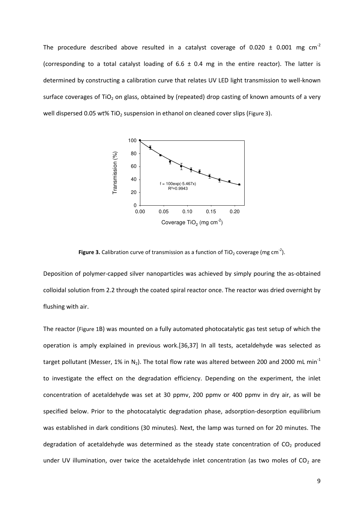The procedure described above resulted in a catalyst coverage of 0.020  $\pm$  0.001 mg cm<sup>-2</sup> (corresponding to a total catalyst loading of 6.6  $\pm$  0.4 mg in the entire reactor). The latter is determined by constructing a calibration curve that relates UV LED light transmission to well-known surface coverages of TiO<sub>2</sub> on glass, obtained by (repeated) drop casting of known amounts of a very well dispersed 0.05 wt% TiO<sub>2</sub> suspension in ethanol on cleaned cover slips ([Figure 3](#page-9-0)).



**Figure 3.** Calibration curve of transmission as a function of TiO<sub>2</sub> coverage (mg cm<sup>-2</sup>).

<span id="page-9-0"></span>Deposition of polymer-capped silver nanoparticles was achieved by simply pouring the as-obtained colloidal solution from 2.2 through the coated spiral reactor once. The reactor was dried overnight by flushing with air.

The reactor ([Figure 1](#page-6-0)B) was mounted on a fully automated photocatalytic gas test setup of which the operation is amply explained in previous work.[36,37] In all tests, acetaldehyde was selected as target pollutant (Messer, 1% in N<sub>2</sub>). The total flow rate was altered between 200 and 2000 mL min<sup>-1</sup> to investigate the effect on the degradation efficiency. Depending on the experiment, the inlet concentration of acetaldehyde was set at 30 ppmv, 200 ppmv or 400 ppmv in dry air, as will be specified below. Prior to the photocatalytic degradation phase, adsorption-desorption equilibrium was established in dark conditions (30 minutes). Next, the lamp was turned on for 20 minutes. The degradation of acetaldehyde was determined as the steady state concentration of  $CO<sub>2</sub>$  produced under UV illumination, over twice the acetaldehyde inlet concentration (as two moles of  $CO<sub>2</sub>$  are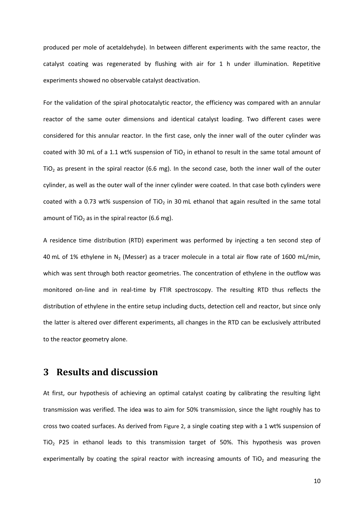produced per mole of acetaldehyde). In between different experiments with the same reactor, the catalyst coating was regenerated by flushing with air for 1 h under illumination. Repetitive experiments showed no observable catalyst deactivation.

For the validation of the spiral photocatalytic reactor, the efficiency was compared with an annular reactor of the same outer dimensions and identical catalyst loading. Two different cases were considered for this annular reactor. In the first case, only the inner wall of the outer cylinder was coated with 30 mL of a 1.1 wt% suspension of TiO<sub>2</sub> in ethanol to result in the same total amount of  $TiO<sub>2</sub>$  as present in the spiral reactor (6.6 mg). In the second case, both the inner wall of the outer cylinder, as well as the outer wall of the inner cylinder were coated. In that case both cylinders were coated with a 0.73 wt% suspension of TiO<sub>2</sub> in 30 mL ethanol that again resulted in the same total amount of TiO<sub>2</sub> as in the spiral reactor (6.6 mg).

A residence time distribution (RTD) experiment was performed by injecting a ten second step of 40 mL of 1% ethylene in  $N_2$  (Messer) as a tracer molecule in a total air flow rate of 1600 mL/min, which was sent through both reactor geometries. The concentration of ethylene in the outflow was monitored on-line and in real-time by FTIR spectroscopy. The resulting RTD thus reflects the distribution of ethylene in the entire setup including ducts, detection cell and reactor, but since only the latter is altered over different experiments, all changes in the RTD can be exclusively attributed to the reactor geometry alone.

### **3 Results and discussion**

At first, our hypothesis of achieving an optimal catalyst coating by calibrating the resulting light transmission was verified. The idea was to aim for 50% transmission, since the light roughly has to cross two coated surfaces. As derived from [Figure 2](#page-8-0), a single coating step with a 1 wt% suspension of  $TiO<sub>2</sub>$  P25 in ethanol leads to this transmission target of 50%. This hypothesis was proven experimentally by coating the spiral reactor with increasing amounts of  $TiO<sub>2</sub>$  and measuring the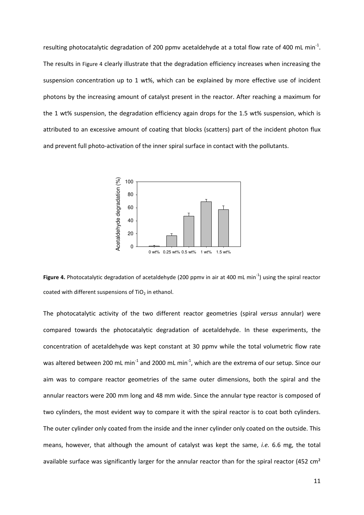resulting photocatalytic degradation of 200 ppmv acetaldehyde at a total flow rate of 400 mL min<sup>-1</sup>. The results in [Figure 4](#page-11-0) clearly illustrate that the degradation efficiency increases when increasing the suspension concentration up to 1 wt%, which can be explained by more effective use of incident photons by the increasing amount of catalyst present in the reactor. After reaching a maximum for the 1 wt% suspension, the degradation efficiency again drops for the 1.5 wt% suspension, which is attributed to an excessive amount of coating that blocks (scatters) part of the incident photon flux and prevent full photo-activation of the inner spiral surface in contact with the pollutants.



<span id="page-11-0"></span>**Figure 4.** Photocatalytic degradation of acetaldehyde (200 ppmv in air at 400 mL min<sup>-1</sup>) using the spiral reactor coated with different suspensions of  $TiO<sub>2</sub>$  in ethanol.

The photocatalytic activity of the two different reactor geometries (spiral *versus* annular) were compared towards the photocatalytic degradation of acetaldehyde. In these experiments, the concentration of acetaldehyde was kept constant at 30 ppmv while the total volumetric flow rate was altered between 200 mL min<sup>-1</sup> and 2000 mL min<sup>-1</sup>, which are the extrema of our setup. Since our aim was to compare reactor geometries of the same outer dimensions, both the spiral and the annular reactors were 200 mm long and 48 mm wide. Since the annular type reactor is composed of two cylinders, the most evident way to compare it with the spiral reactor is to coat both cylinders. The outer cylinder only coated from the inside and the inner cylinder only coated on the outside. This means, however, that although the amount of catalyst was kept the same, *i.e.* 6.6 mg, the total available surface was significantly larger for the annular reactor than for the spiral reactor (452  $\text{cm}^2$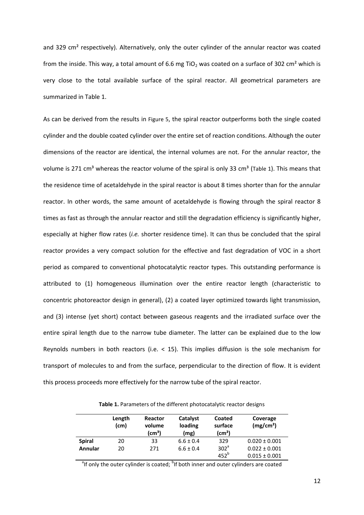and 329 cm<sup>2</sup> respectively). Alternatively, only the outer cylinder of the annular reactor was coated from the inside. This way, a total amount of 6.6 mg TiO<sub>2</sub> was coated on a surface of 302 cm<sup>2</sup> which is very close to the total available surface of the spiral reactor. All geometrical parameters are summarized in Table 1.

As can be derived from the results in [Figure 5](#page-13-0), the spiral reactor outperforms both the single coated cylinder and the double coated cylinder over the entire set of reaction conditions. Although the outer dimensions of the reactor are identical, the internal volumes are not. For the annular reactor, the volume is 271 cm<sup>3</sup> whereas the reactor volume of the spiral is only 33 cm<sup>3</sup> ([Table 1](#page-12-0)). This means that the residence time of acetaldehyde in the spiral reactor is about 8 times shorter than for the annular reactor. In other words, the same amount of acetaldehyde is flowing through the spiral reactor 8 times as fast as through the annular reactor and still the degradation efficiency is significantly higher, especially at higher flow rates (*i.e.* shorter residence time). It can thus be concluded that the spiral reactor provides a very compact solution for the effective and fast degradation of VOC in a short period as compared to conventional photocatalytic reactor types. This outstanding performance is attributed to (1) homogeneous illumination over the entire reactor length (characteristic to concentric photoreactor design in general), (2) a coated layer optimized towards light transmission, and (3) intense (yet short) contact between gaseous reagents and the irradiated surface over the entire spiral length due to the narrow tube diameter. The latter can be explained due to the low Reynolds numbers in both reactors (i.e.  $<$  15). This implies diffusion is the sole mechanism for transport of molecules to and from the surface, perpendicular to the direction of flow. It is evident this process proceeds more effectively for the narrow tube of the spiral reactor.

<span id="page-12-0"></span>**Length (cm) Reactor volume (cm³) Catalyst loading (mg) Coated surface (cm²) Coverage (mg/cm²) Spiral** 20 33 6.6 ± 0.4 329 0.020 ± 0.001 **Annular** 20 271  $6.6 \pm 0.4$  302<sup>a</sup>  $452^b$  $0.022 \pm 0.001$  $0.015 \pm 0.001$ 

**Table 1.** Parameters of the different photocatalytic reactor designs

<sup>a</sup>lf only the outer cylinder is coated; <sup>b</sup>lf both inner and outer cylinders are coated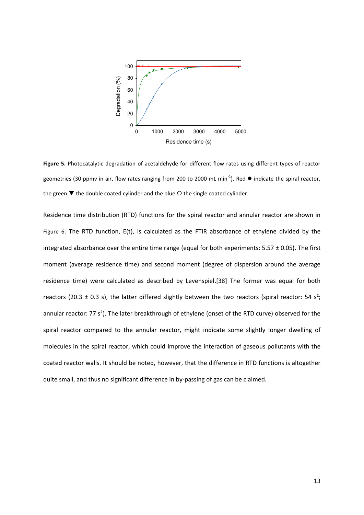

<span id="page-13-0"></span>Figure 5. Photocatalytic degradation of acetaldehyde for different flow rates using different types of reactor geometries (30 ppmv in air, flow rates ranging from 200 to 2000 mL min<sup>-1</sup>). Red  $\bullet$  indicate the spiral reactor, the green  $\blacktriangledown$  the double coated cylinder and the blue  $\bigcirc$  the single coated cylinder.

Residence time distribution (RTD) functions for the spiral reactor and annular reactor are shown in [Figure 6](#page-14-0). The RTD function, E(t), is calculated as the FTIR absorbance of ethylene divided by the integrated absorbance over the entire time range (equal for both experiments:  $5.57 \pm 0.05$ ). The first moment (average residence time) and second moment (degree of dispersion around the average residence time) were calculated as described by Levenspiel.[38] The former was equal for both reactors (20.3  $\pm$  0.3 s), the latter differed slightly between the two reactors (spiral reactor: 54 s<sup>2</sup>; annular reactor: 77 s²). The later breakthrough of ethylene (onset of the RTD curve) observed for the spiral reactor compared to the annular reactor, might indicate some slightly longer dwelling of molecules in the spiral reactor, which could improve the interaction of gaseous pollutants with the coated reactor walls. It should be noted, however, that the difference in RTD functions is altogether quite small, and thus no significant difference in by-passing of gas can be claimed.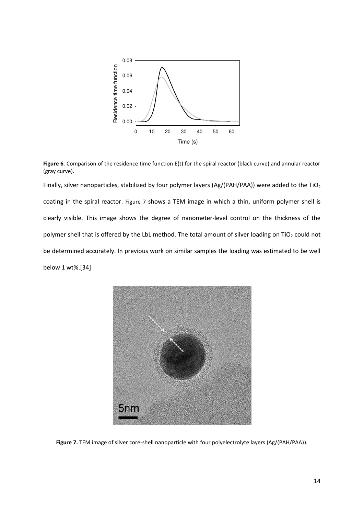

<span id="page-14-0"></span>**Figure 6**. Comparison of the residence time function E(t) for the spiral reactor (black curve) and annular reactor (gray curve).

Finally, silver nanoparticles, stabilized by four polymer layers (Ag/(PAH/PAA)) were added to the TiO<sub>2</sub> coating in the spiral reactor. [Figure 7](#page-14-1) shows a TEM image in which a thin, uniform polymer shell is clearly visible. This image shows the degree of nanometer-level control on the thickness of the polymer shell that is offered by the LbL method. The total amount of silver loading on TiO<sub>2</sub> could not be determined accurately. In previous work on similar samples the loading was estimated to be well below 1 wt%.[34]

<span id="page-14-1"></span>

**Figure 7.** TEM image of silver core-shell nanoparticle with four polyelectrolyte layers (Ag/(PAH/PAA)).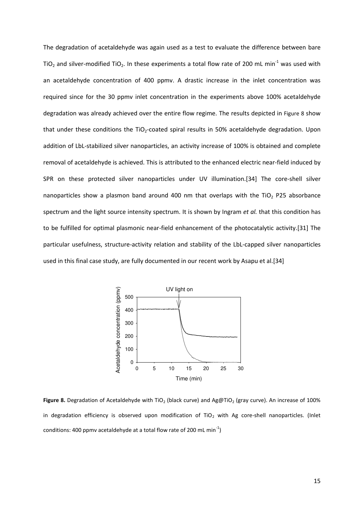The degradation of acetaldehyde was again used as a test to evaluate the difference between bare TiO<sub>2</sub> and silver-modified TiO<sub>2</sub>. In these experiments a total flow rate of 200 mL min<sup>-1</sup> was used with an acetaldehyde concentration of 400 ppmv. A drastic increase in the inlet concentration was required since for the 30 ppmv inlet concentration in the experiments above 100% acetaldehyde degradation was already achieved over the entire flow regime. The results depicted in [Figure 8](#page-15-0) show that under these conditions the TiO<sub>2</sub>-coated spiral results in 50% acetaldehyde degradation. Upon addition of LbL-stabilized silver nanoparticles, an activity increase of 100% is obtained and complete removal of acetaldehyde is achieved. This is attributed to the enhanced electric near-field induced by SPR on these protected silver nanoparticles under UV illumination.[34] The core-shell silver nanoparticles show a plasmon band around 400 nm that overlaps with the TiO<sub>2</sub> P25 absorbance spectrum and the light source intensity spectrum. It is shown by Ingram *et al.* that this condition has to be fulfilled for optimal plasmonic near-field enhancement of the photocatalytic activity.[31] The particular usefulness, structure-activity relation and stability of the LbL-capped silver nanoparticles used in this final case study, are fully documented in our recent work by Asapu et al.[34]



<span id="page-15-0"></span>Figure 8. Degradation of Acetaldehyde with TiO<sub>2</sub> (black curve) and Ag@TiO<sub>2</sub> (gray curve). An increase of 100% in degradation efficiency is observed upon modification of  $TiO<sub>2</sub>$  with Ag core-shell nanoparticles. (Inlet conditions: 400 ppmv acetaldehyde at a total flow rate of 200 mL min<sup>-1</sup>)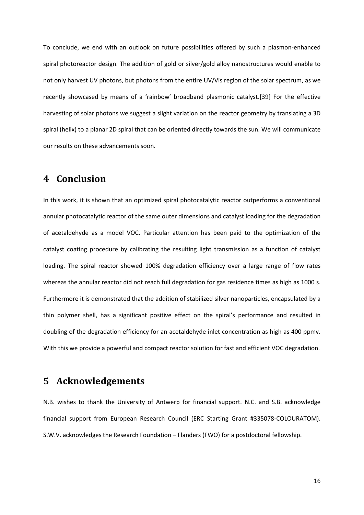To conclude, we end with an outlook on future possibilities offered by such a plasmon-enhanced spiral photoreactor design. The addition of gold or silver/gold alloy nanostructures would enable to not only harvest UV photons, but photons from the entire UV/Vis region of the solar spectrum, as we recently showcased by means of a 'rainbow' broadband plasmonic catalyst.[39] For the effective harvesting of solar photons we suggest a slight variation on the reactor geometry by translating a 3D spiral (helix) to a planar 2D spiral that can be oriented directly towards the sun. We will communicate our results on these advancements soon.

# **4 Conclusion**

In this work, it is shown that an optimized spiral photocatalytic reactor outperforms a conventional annular photocatalytic reactor of the same outer dimensions and catalyst loading for the degradation of acetaldehyde as a model VOC. Particular attention has been paid to the optimization of the catalyst coating procedure by calibrating the resulting light transmission as a function of catalyst loading. The spiral reactor showed 100% degradation efficiency over a large range of flow rates whereas the annular reactor did not reach full degradation for gas residence times as high as 1000 s. Furthermore it is demonstrated that the addition of stabilized silver nanoparticles, encapsulated by a thin polymer shell, has a significant positive effect on the spiral's performance and resulted in doubling of the degradation efficiency for an acetaldehyde inlet concentration as high as 400 ppmv. With this we provide a powerful and compact reactor solution for fast and efficient VOC degradation.

### **5 Acknowledgements**

N.B. wishes to thank the University of Antwerp for financial support. N.C. and S.B. acknowledge financial support from European Research Council (ERC Starting Grant #335078-COLOURATOM). S.W.V. acknowledges the Research Foundation – Flanders (FWO) for a postdoctoral fellowship.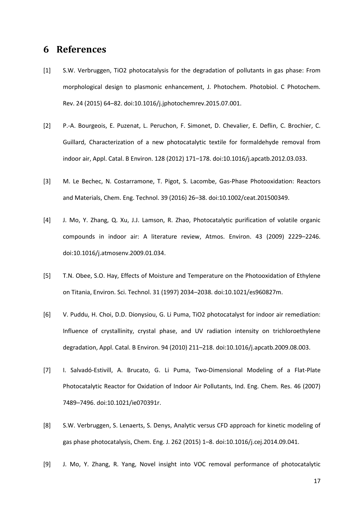## **6 References**

- [1] S.W. Verbruggen, TiO2 photocatalysis for the degradation of pollutants in gas phase: From morphological design to plasmonic enhancement, J. Photochem. Photobiol. C Photochem. Rev. 24 (2015) 64–82. doi:10.1016/j.jphotochemrev.2015.07.001.
- [2] P.-A. Bourgeois, E. Puzenat, L. Peruchon, F. Simonet, D. Chevalier, E. Deflin, C. Brochier, C. Guillard, Characterization of a new photocatalytic textile for formaldehyde removal from indoor air, Appl. Catal. B Environ. 128 (2012) 171–178. doi:10.1016/j.apcatb.2012.03.033.
- [3] M. Le Bechec, N. Costarramone, T. Pigot, S. Lacombe, Gas-Phase Photooxidation: Reactors and Materials, Chem. Eng. Technol. 39 (2016) 26–38. doi:10.1002/ceat.201500349.
- [4] J. Mo, Y. Zhang, Q. Xu, J.J. Lamson, R. Zhao, Photocatalytic purification of volatile organic compounds in indoor air: A literature review, Atmos. Environ. 43 (2009) 2229–2246. doi:10.1016/j.atmosenv.2009.01.034.
- [5] T.N. Obee, S.O. Hay, Effects of Moisture and Temperature on the Photooxidation of Ethylene on Titania, Environ. Sci. Technol. 31 (1997) 2034–2038. doi:10.1021/es960827m.
- [6] V. Puddu, H. Choi, D.D. Dionysiou, G. Li Puma, TiO2 photocatalyst for indoor air remediation: Influence of crystallinity, crystal phase, and UV radiation intensity on trichloroethylene degradation, Appl. Catal. B Environ. 94 (2010) 211–218. doi:10.1016/j.apcatb.2009.08.003.
- [7] I. Salvadó-Estivill, A. Brucato, G. Li Puma, Two-Dimensional Modeling of a Flat-Plate Photocatalytic Reactor for Oxidation of Indoor Air Pollutants, Ind. Eng. Chem. Res. 46 (2007) 7489–7496. doi:10.1021/ie070391r.
- [8] S.W. Verbruggen, S. Lenaerts, S. Denys, Analytic versus CFD approach for kinetic modeling of gas phase photocatalysis, Chem. Eng. J. 262 (2015) 1–8. doi:10.1016/j.cej.2014.09.041.
- [9] J. Mo, Y. Zhang, R. Yang, Novel insight into VOC removal performance of photocatalytic

17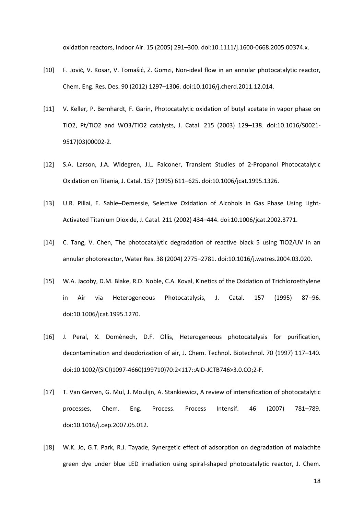oxidation reactors, Indoor Air. 15 (2005) 291–300. doi:10.1111/j.1600-0668.2005.00374.x.

- [10] F. Jović, V. Kosar, V. Tomašić, Z. Gomzi, Non-ideal flow in an annular photocatalytic reactor, Chem. Eng. Res. Des. 90 (2012) 1297–1306. doi:10.1016/j.cherd.2011.12.014.
- [11] V. Keller, P. Bernhardt, F. Garin, Photocatalytic oxidation of butyl acetate in vapor phase on TiO2, Pt/TiO2 and WO3/TiO2 catalysts, J. Catal. 215 (2003) 129–138. doi:10.1016/S0021- 9517(03)00002-2.
- [12] S.A. Larson, J.A. Widegren, J.L. Falconer, Transient Studies of 2-Propanol Photocatalytic Oxidation on Titania, J. Catal. 157 (1995) 611–625. doi:10.1006/jcat.1995.1326.
- [13] U.R. Pillai, E. Sahle–Demessie, Selective Oxidation of Alcohols in Gas Phase Using Light-Activated Titanium Dioxide, J. Catal. 211 (2002) 434–444. doi:10.1006/jcat.2002.3771.
- [14] C. Tang, V. Chen, The photocatalytic degradation of reactive black 5 using TiO2/UV in an annular photoreactor, Water Res. 38 (2004) 2775–2781. doi:10.1016/j.watres.2004.03.020.
- [15] W.A. Jacoby, D.M. Blake, R.D. Noble, C.A. Koval, Kinetics of the Oxidation of Trichloroethylene in Air via Heterogeneous Photocatalysis, J. Catal. 157 (1995) 87–96. doi:10.1006/jcat.1995.1270.
- [16] J. Peral, X. Domènech, D.F. Ollis, Heterogeneous photocatalysis for purification, decontamination and deodorization of air, J. Chem. Technol. Biotechnol. 70 (1997) 117–140. doi:10.1002/(SICI)1097-4660(199710)70:2<117::AID-JCTB746>3.0.CO;2-F.
- [17] T. Van Gerven, G. Mul, J. Moulijn, A. Stankiewicz, A review of intensification of photocatalytic processes, Chem. Eng. Process. Process Intensif. 46 (2007) 781–789. doi:10.1016/j.cep.2007.05.012.
- [18] W.K. Jo, G.T. Park, R.J. Tayade, Synergetic effect of adsorption on degradation of malachite green dye under blue LED irradiation using spiral-shaped photocatalytic reactor, J. Chem.

18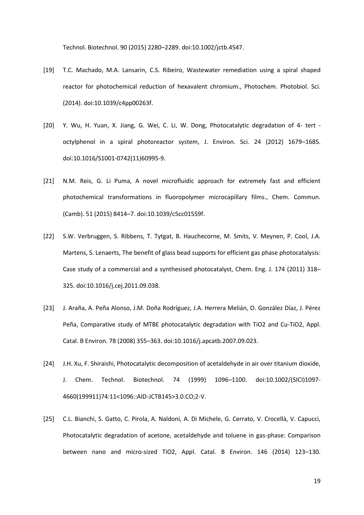Technol. Biotechnol. 90 (2015) 2280–2289. doi:10.1002/jctb.4547.

- [19] T.C. Machado, M.A. Lansarin, C.S. Ribeiro, Wastewater remediation using a spiral shaped reactor for photochemical reduction of hexavalent chromium., Photochem. Photobiol. Sci. (2014). doi:10.1039/c4pp00263f.
- [20] Y. Wu, H. Yuan, X. Jiang, G. Wei, C. Li, W. Dong, Photocatalytic degradation of 4- tert octylphenol in a spiral photoreactor system, J. Environ. Sci. 24 (2012) 1679–1685. doi:10.1016/S1001-0742(11)60995-9.
- [21] N.M. Reis, G. Li Puma, A novel microfluidic approach for extremely fast and efficient photochemical transformations in fluoropolymer microcapillary films., Chem. Commun. (Camb). 51 (2015) 8414–7. doi:10.1039/c5cc01559f.
- [22] S.W. Verbruggen, S. Ribbens, T. Tytgat, B. Hauchecorne, M. Smits, V. Meynen, P. Cool, J.A. Martens, S. Lenaerts, The benefit of glass bead supports for efficient gas phase photocatalysis: Case study of a commercial and a synthesised photocatalyst, Chem. Eng. J. 174 (2011) 318– 325. doi:10.1016/j.cej.2011.09.038.
- [23] J. Araña, A. Peña Alonso, J.M. Doña Rodríguez, J.A. Herrera Melián, O. González Díaz, J. Pérez Peña, Comparative study of MTBE photocatalytic degradation with TiO2 and Cu-TiO2, Appl. Catal. B Environ. 78 (2008) 355–363. doi:10.1016/j.apcatb.2007.09.023.
- [24] J.H. Xu, F. Shiraishi, Photocatalytic decomposition of acetaldehyde in air over titanium dioxide, J. Chem. Technol. Biotechnol. 74 (1999) 1096–1100. doi:10.1002/(SICI)1097- 4660(199911)74:11<1096::AID-JCTB145>3.0.CO;2-V.
- [25] C.L. Bianchi, S. Gatto, C. Pirola, A. Naldoni, A. Di Michele, G. Cerrato, V. Crocellà, V. Capucci, Photocatalytic degradation of acetone, acetaldehyde and toluene in gas-phase: Comparison between nano and micro-sized TiO2, Appl. Catal. B Environ. 146 (2014) 123–130.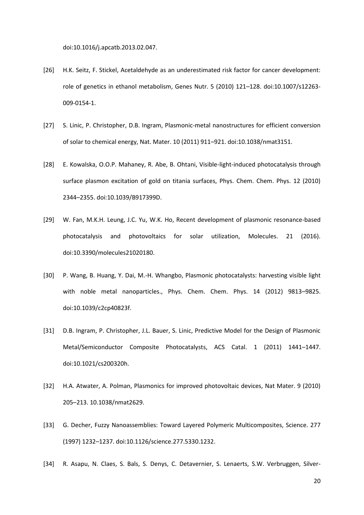doi:10.1016/j.apcatb.2013.02.047.

- [26] H.K. Seitz, F. Stickel, Acetaldehyde as an underestimated risk factor for cancer development: role of genetics in ethanol metabolism, Genes Nutr. 5 (2010) 121–128. doi:10.1007/s12263- 009-0154-1.
- [27] S. Linic, P. Christopher, D.B. Ingram, Plasmonic-metal nanostructures for efficient conversion of solar to chemical energy, Nat. Mater. 10 (2011) 911–921. doi:10.1038/nmat3151.
- [28] E. Kowalska, O.O.P. Mahaney, R. Abe, B. Ohtani, Visible-light-induced photocatalysis through surface plasmon excitation of gold on titania surfaces, Phys. Chem. Chem. Phys. 12 (2010) 2344–2355. doi:10.1039/B917399D.
- [29] W. Fan, M.K.H. Leung, J.C. Yu, W.K. Ho, Recent development of plasmonic resonance-based photocatalysis and photovoltaics for solar utilization, Molecules. 21 (2016). doi:10.3390/molecules21020180.
- [30] P. Wang, B. Huang, Y. Dai, M.-H. Whangbo, Plasmonic photocatalysts: harvesting visible light with noble metal nanoparticles., Phys. Chem. Chem. Phys. 14 (2012) 9813–9825. doi:10.1039/c2cp40823f.
- [31] D.B. Ingram, P. Christopher, J.L. Bauer, S. Linic, Predictive Model for the Design of Plasmonic Metal/Semiconductor Composite Photocatalysts, ACS Catal. 1 (2011) 1441–1447. doi:10.1021/cs200320h.
- [32] H.A. Atwater, A. Polman, Plasmonics for improved photovoltaic devices, Nat Mater. 9 (2010) 205–213. 10.1038/nmat2629.
- [33] G. Decher, Fuzzy Nanoassemblies: Toward Layered Polymeric Multicomposites, Science. 277 (1997) 1232–1237. doi:10.1126/science.277.5330.1232.
- [34] R. Asapu, N. Claes, S. Bals, S. Denys, C. Detavernier, S. Lenaerts, S.W. Verbruggen, Silver-

20